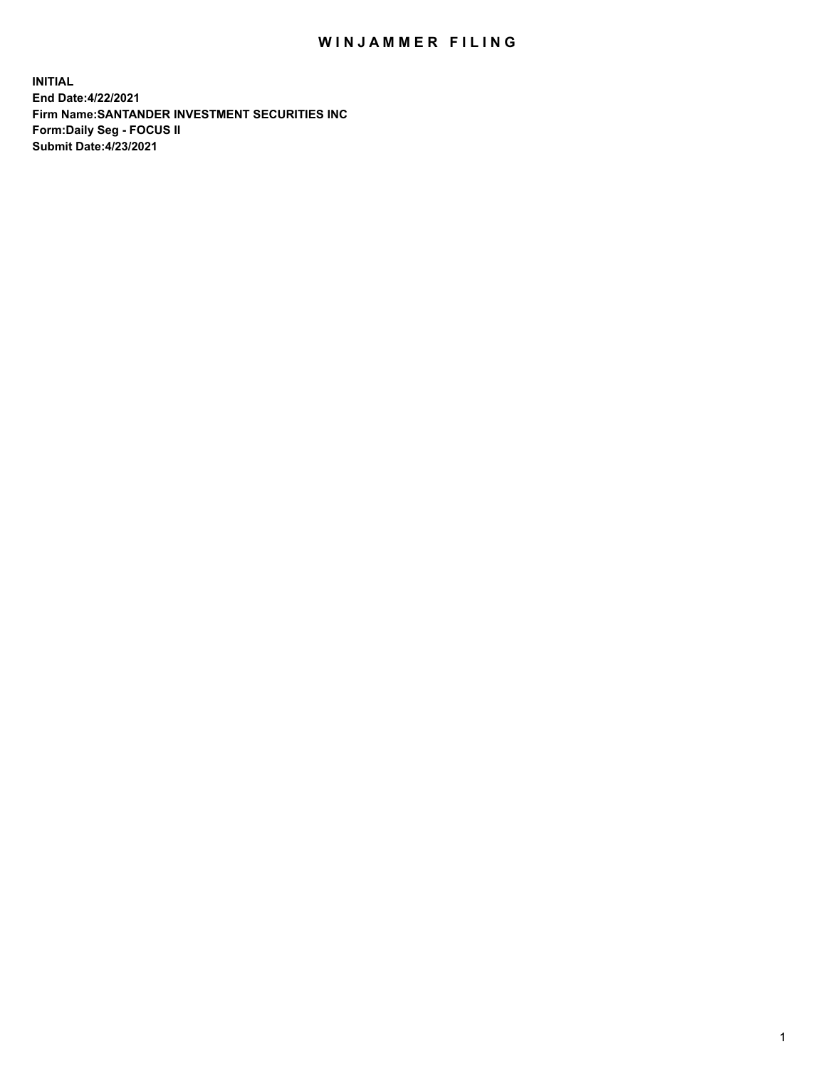## WIN JAMMER FILING

**INITIAL End Date:4/22/2021 Firm Name:SANTANDER INVESTMENT SECURITIES INC Form:Daily Seg - FOCUS II Submit Date:4/23/2021**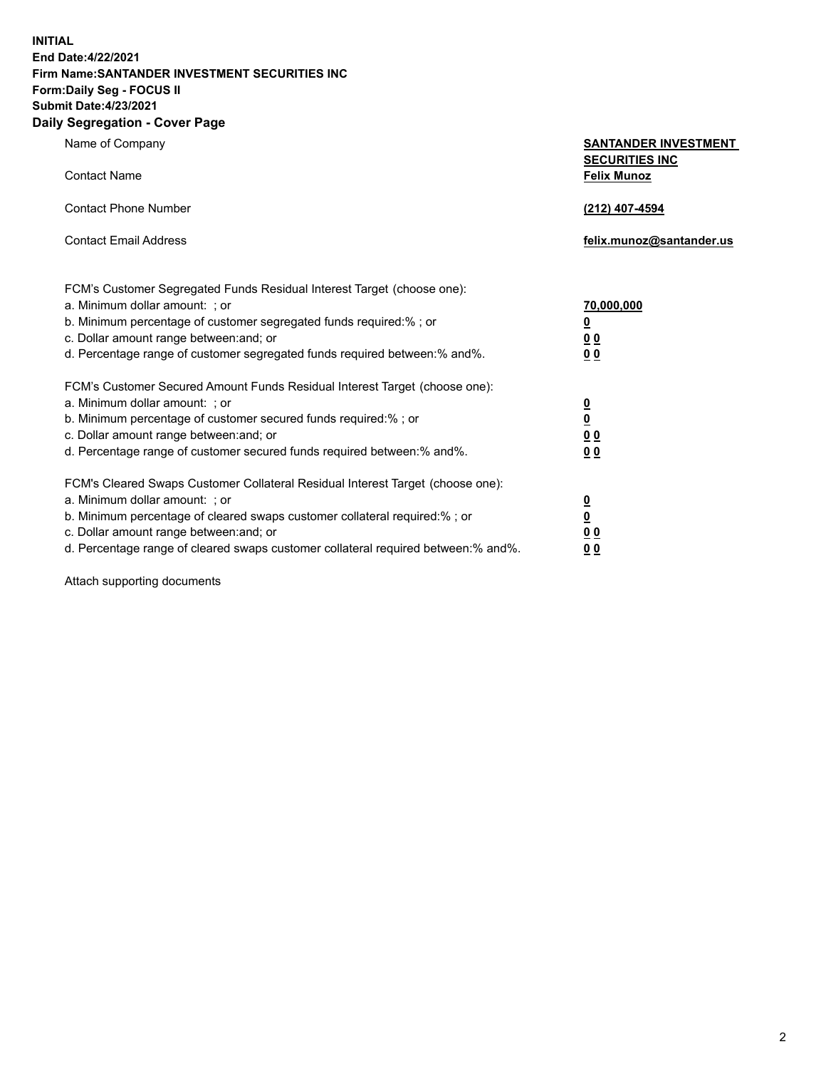**INITIAL End Date:4/22/2021 Firm Name:SANTANDER INVESTMENT SECURITIES INC Form:Daily Seg - FOCUS II Submit Date:4/23/2021 Daily Segregation - Cover Page**

| Name of Company                                                                   | <b>SANTANDER INVESTMENT</b><br><b>SECURITIES INC</b> |
|-----------------------------------------------------------------------------------|------------------------------------------------------|
| <b>Contact Name</b>                                                               | <b>Felix Munoz</b>                                   |
| <b>Contact Phone Number</b>                                                       | (212) 407-4594                                       |
| <b>Contact Email Address</b>                                                      | felix.munoz@santander.us                             |
| FCM's Customer Segregated Funds Residual Interest Target (choose one):            |                                                      |
| a. Minimum dollar amount: ; or                                                    | <u>70,000,000</u>                                    |
| b. Minimum percentage of customer segregated funds required:% ; or                | <u>0</u>                                             |
| c. Dollar amount range between: and; or                                           | 0 <sub>0</sub>                                       |
| d. Percentage range of customer segregated funds required between:% and%.         | 0 <sub>0</sub>                                       |
| FCM's Customer Secured Amount Funds Residual Interest Target (choose one):        |                                                      |
| a. Minimum dollar amount: ; or                                                    | $\frac{0}{0}$                                        |
| b. Minimum percentage of customer secured funds required:%; or                    |                                                      |
| c. Dollar amount range between: and; or                                           | 0 <sub>0</sub>                                       |
| d. Percentage range of customer secured funds required between:% and%.            | 0 <sub>0</sub>                                       |
| FCM's Cleared Swaps Customer Collateral Residual Interest Target (choose one):    |                                                      |
| a. Minimum dollar amount: ; or                                                    | $\overline{\mathbf{0}}$                              |
| b. Minimum percentage of cleared swaps customer collateral required:% ; or        | $\underline{\mathbf{0}}$                             |
| c. Dollar amount range between: and; or                                           | 00                                                   |
| d. Percentage range of cleared swaps customer collateral required between:% and%. | <u>00</u>                                            |

Attach supporting documents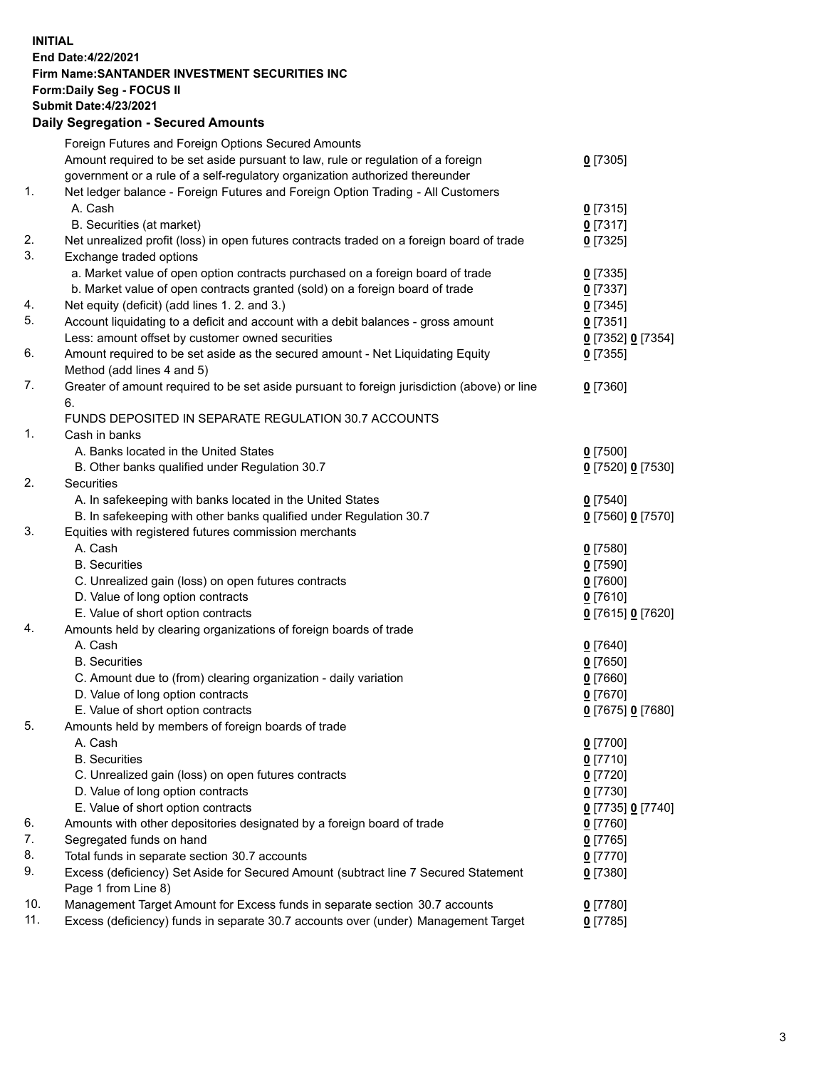## **INITIAL End Date:4/22/2021 Firm Name:SANTANDER INVESTMENT SECURITIES INC Form:Daily Seg - FOCUS II Submit Date:4/23/2021 Daily Segregation - Secured Amounts**

|     | Foreign Futures and Foreign Options Secured Amounts                                         |                   |
|-----|---------------------------------------------------------------------------------------------|-------------------|
|     | Amount required to be set aside pursuant to law, rule or regulation of a foreign            | $0$ [7305]        |
|     | government or a rule of a self-regulatory organization authorized thereunder                |                   |
| 1.  | Net ledger balance - Foreign Futures and Foreign Option Trading - All Customers             |                   |
|     | A. Cash                                                                                     | $0$ [7315]        |
|     | B. Securities (at market)                                                                   | $0$ [7317]        |
| 2.  | Net unrealized profit (loss) in open futures contracts traded on a foreign board of trade   | $0$ [7325]        |
| 3.  | Exchange traded options                                                                     |                   |
|     | a. Market value of open option contracts purchased on a foreign board of trade              | $0$ [7335]        |
|     | b. Market value of open contracts granted (sold) on a foreign board of trade                | $0$ [7337]        |
| 4.  | Net equity (deficit) (add lines 1. 2. and 3.)                                               | $0$ [7345]        |
| 5.  | Account liquidating to a deficit and account with a debit balances - gross amount           | $0$ [7351]        |
|     | Less: amount offset by customer owned securities                                            | 0 [7352] 0 [7354] |
| 6.  | Amount required to be set aside as the secured amount - Net Liquidating Equity              | $0$ [7355]        |
|     | Method (add lines 4 and 5)                                                                  |                   |
| 7.  | Greater of amount required to be set aside pursuant to foreign jurisdiction (above) or line | $0$ [7360]        |
|     | 6.                                                                                          |                   |
|     | FUNDS DEPOSITED IN SEPARATE REGULATION 30.7 ACCOUNTS                                        |                   |
| 1.  | Cash in banks                                                                               |                   |
|     | A. Banks located in the United States                                                       | $0$ [7500]        |
|     | B. Other banks qualified under Regulation 30.7                                              | 0 [7520] 0 [7530] |
| 2.  | <b>Securities</b>                                                                           |                   |
|     | A. In safekeeping with banks located in the United States                                   | $0$ [7540]        |
|     | B. In safekeeping with other banks qualified under Regulation 30.7                          | 0 [7560] 0 [7570] |
| 3.  | Equities with registered futures commission merchants                                       |                   |
|     | A. Cash                                                                                     | $0$ [7580]        |
|     | <b>B.</b> Securities                                                                        | $0$ [7590]        |
|     | C. Unrealized gain (loss) on open futures contracts                                         | $0$ [7600]        |
|     | D. Value of long option contracts                                                           | $0$ [7610]        |
|     | E. Value of short option contracts                                                          | 0 [7615] 0 [7620] |
| 4.  | Amounts held by clearing organizations of foreign boards of trade                           |                   |
|     | A. Cash                                                                                     | $0$ [7640]        |
|     | <b>B.</b> Securities                                                                        | $0$ [7650]        |
|     | C. Amount due to (from) clearing organization - daily variation                             | $0$ [7660]        |
|     | D. Value of long option contracts                                                           | $0$ [7670]        |
|     | E. Value of short option contracts                                                          | 0 [7675] 0 [7680] |
| 5.  | Amounts held by members of foreign boards of trade                                          |                   |
|     | A. Cash                                                                                     | $0$ [7700]        |
|     | <b>B.</b> Securities                                                                        | $0$ [7710]        |
|     | C. Unrealized gain (loss) on open futures contracts                                         | $0$ [7720]        |
|     | D. Value of long option contracts                                                           | $0$ [7730]        |
|     | E. Value of short option contracts                                                          | 0 [7735] 0 [7740] |
| 6.  | Amounts with other depositories designated by a foreign board of trade                      | $0$ [7760]        |
| 7.  | Segregated funds on hand                                                                    | $0$ [7765]        |
| 8.  | Total funds in separate section 30.7 accounts                                               | $0$ [7770]        |
| 9.  | Excess (deficiency) Set Aside for Secured Amount (subtract line 7 Secured Statement         | $0$ [7380]        |
|     | Page 1 from Line 8)                                                                         |                   |
| 10. | Management Target Amount for Excess funds in separate section 30.7 accounts                 | $0$ [7780]        |
| 11. | Excess (deficiency) funds in separate 30.7 accounts over (under) Management Target          | $0$ [7785]        |
|     |                                                                                             |                   |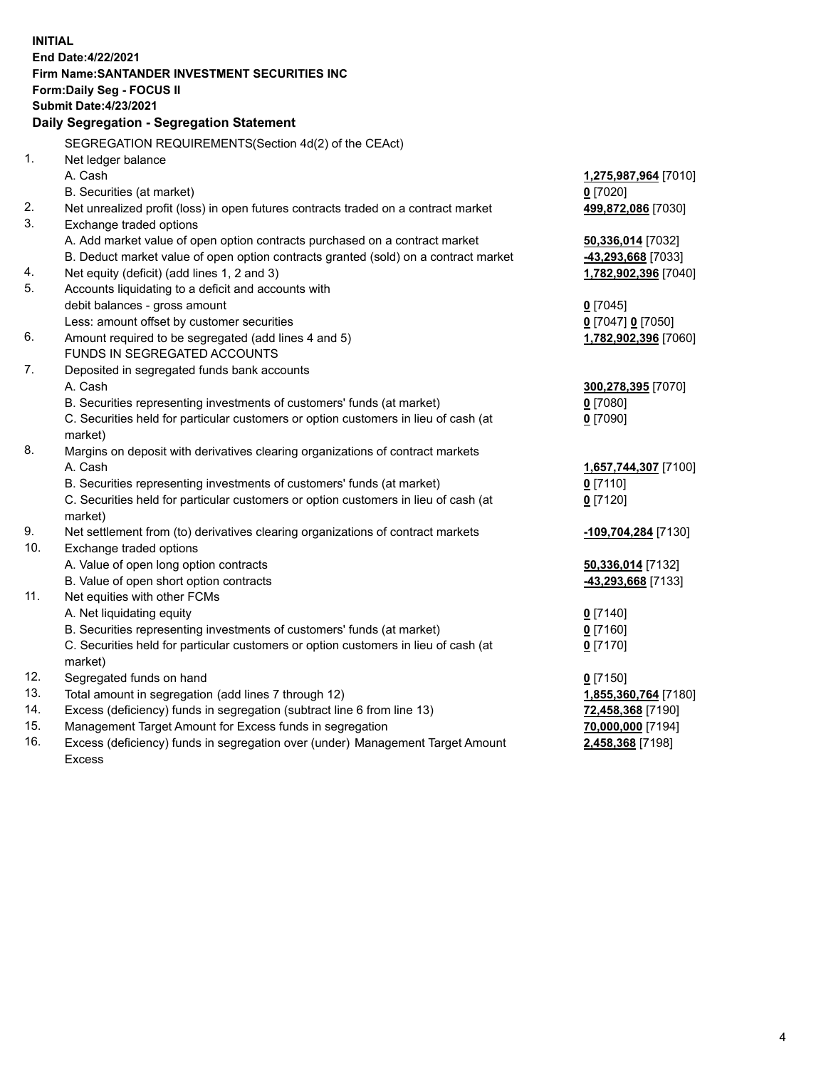| <b>INITIAL</b> |                                                                                                                                                               |                            |
|----------------|---------------------------------------------------------------------------------------------------------------------------------------------------------------|----------------------------|
|                | End Date: 4/22/2021                                                                                                                                           |                            |
|                | <b>Firm Name: SANTANDER INVESTMENT SECURITIES INC</b>                                                                                                         |                            |
|                | Form: Daily Seg - FOCUS II                                                                                                                                    |                            |
|                | <b>Submit Date:4/23/2021</b>                                                                                                                                  |                            |
|                | Daily Segregation - Segregation Statement                                                                                                                     |                            |
|                | SEGREGATION REQUIREMENTS(Section 4d(2) of the CEAct)                                                                                                          |                            |
| 1.             | Net ledger balance                                                                                                                                            |                            |
|                | A. Cash                                                                                                                                                       | 1,275,987,964 [7010]       |
|                | B. Securities (at market)                                                                                                                                     | $0$ [7020]                 |
| 2.             | Net unrealized profit (loss) in open futures contracts traded on a contract market                                                                            | 499,872,086 [7030]         |
| 3.             | Exchange traded options                                                                                                                                       |                            |
|                | A. Add market value of open option contracts purchased on a contract market                                                                                   | 50,336,014 [7032]          |
|                | B. Deduct market value of open option contracts granted (sold) on a contract market                                                                           | 43,293,668 [7033]          |
| 4.             | Net equity (deficit) (add lines 1, 2 and 3)                                                                                                                   | 1,782,902,396 [7040]       |
| 5.             | Accounts liquidating to a deficit and accounts with                                                                                                           |                            |
|                | debit balances - gross amount                                                                                                                                 | $0$ [7045]                 |
|                | Less: amount offset by customer securities                                                                                                                    | 0 [7047] 0 [7050]          |
| 6.             | Amount required to be segregated (add lines 4 and 5)                                                                                                          | 1,782,902,396 [7060]       |
|                | FUNDS IN SEGREGATED ACCOUNTS                                                                                                                                  |                            |
| 7.             | Deposited in segregated funds bank accounts                                                                                                                   |                            |
|                | A. Cash                                                                                                                                                       | 300,278,395 [7070]         |
|                | B. Securities representing investments of customers' funds (at market)                                                                                        | $0$ [7080]                 |
|                | C. Securities held for particular customers or option customers in lieu of cash (at                                                                           | $0$ [7090]                 |
|                | market)                                                                                                                                                       |                            |
| 8.             | Margins on deposit with derivatives clearing organizations of contract markets                                                                                |                            |
|                | A. Cash                                                                                                                                                       | 1,657,744,307 [7100]       |
|                | B. Securities representing investments of customers' funds (at market)<br>C. Securities held for particular customers or option customers in lieu of cash (at | $0$ [7110]                 |
|                | market)                                                                                                                                                       | $0$ [7120]                 |
| 9.             | Net settlement from (to) derivatives clearing organizations of contract markets                                                                               | <u>-109,704,284</u> [7130] |
| 10.            | Exchange traded options                                                                                                                                       |                            |
|                | A. Value of open long option contracts                                                                                                                        | 50,336,014 [7132]          |
|                | B. Value of open short option contracts                                                                                                                       | 43,293,668 [7133]          |
| 11.            | Net equities with other FCMs                                                                                                                                  |                            |
|                | A. Net liquidating equity                                                                                                                                     | $0$ [7140]                 |
|                | B. Securities representing investments of customers' funds (at market)                                                                                        | $0$ [7160]                 |
|                | C. Securities held for particular customers or option customers in lieu of cash (at                                                                           | $0$ [7170]                 |
|                | market)                                                                                                                                                       |                            |
| 12.            | Segregated funds on hand                                                                                                                                      | $0$ [7150]                 |
| 13.            | Total amount in segregation (add lines 7 through 12)                                                                                                          | 1,855,360,764 [7180]       |
| 14.            | Excess (deficiency) funds in segregation (subtract line 6 from line 13)                                                                                       | 72,458,368 [7190]          |
| 15.            | Management Target Amount for Excess funds in segregation                                                                                                      | 70,000,000 [7194]          |
| 16.            | Excess (deficiency) funds in segregation over (under) Management Target Amount                                                                                | 2,458,368 [7198]           |
|                | <b>Excess</b>                                                                                                                                                 |                            |